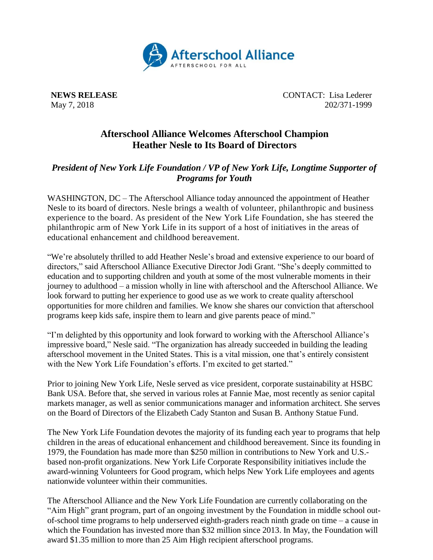

**NEWS RELEASE** CONTACT: Lisa Lederer May 7, 2018 202/371-1999

## **Afterschool Alliance Welcomes Afterschool Champion Heather Nesle to Its Board of Directors**

## *President of New York Life Foundation / VP of New York Life, Longtime Supporter of Programs for Youth*

WASHINGTON, DC – The Afterschool Alliance today announced the appointment of Heather Nesle to its board of directors. Nesle brings a wealth of volunteer, philanthropic and business experience to the board. As president of the New York Life Foundation, she has steered the philanthropic arm of New York Life in its support of a host of initiatives in the areas of educational enhancement and childhood bereavement.

"We're absolutely thrilled to add Heather Nesle's broad and extensive experience to our board of directors," said Afterschool Alliance Executive Director Jodi Grant. "She's deeply committed to education and to supporting children and youth at some of the most vulnerable moments in their journey to adulthood – a mission wholly in line with afterschool and the Afterschool Alliance. We look forward to putting her experience to good use as we work to create quality afterschool opportunities for more children and families. We know she shares our conviction that afterschool programs keep kids safe, inspire them to learn and give parents peace of mind."

"I'm delighted by this opportunity and look forward to working with the Afterschool Alliance's impressive board," Nesle said. "The organization has already succeeded in building the leading afterschool movement in the United States. This is a vital mission, one that's entirely consistent with the New York Life Foundation's efforts. I'm excited to get started."

Prior to joining New York Life, Nesle served as vice president, corporate sustainability at HSBC Bank USA. Before that, she served in various roles at Fannie Mae, most recently as senior capital markets manager, as well as senior communications manager and information architect. She serves on the Board of Directors of the Elizabeth Cady Stanton and Susan B. Anthony Statue Fund.

The New York Life Foundation devotes the majority of its funding each year to programs that help children in the areas of educational enhancement and childhood bereavement. Since its founding in 1979, the Foundation has made more than \$250 million in contributions to New York and U.S. based non-profit organizations. New York Life Corporate Responsibility initiatives include the award-winning Volunteers for Good program, which helps New York Life employees and agents nationwide volunteer within their communities.

The Afterschool Alliance and the New York Life Foundation are currently collaborating on the "Aim High" grant program, part of an ongoing investment by the Foundation in middle school outof-school time programs to help underserved eighth-graders reach ninth grade on time – a cause in which the Foundation has invested more than \$32 million since 2013. In May, the Foundation will award \$1.35 million to more than 25 Aim High recipient afterschool programs.